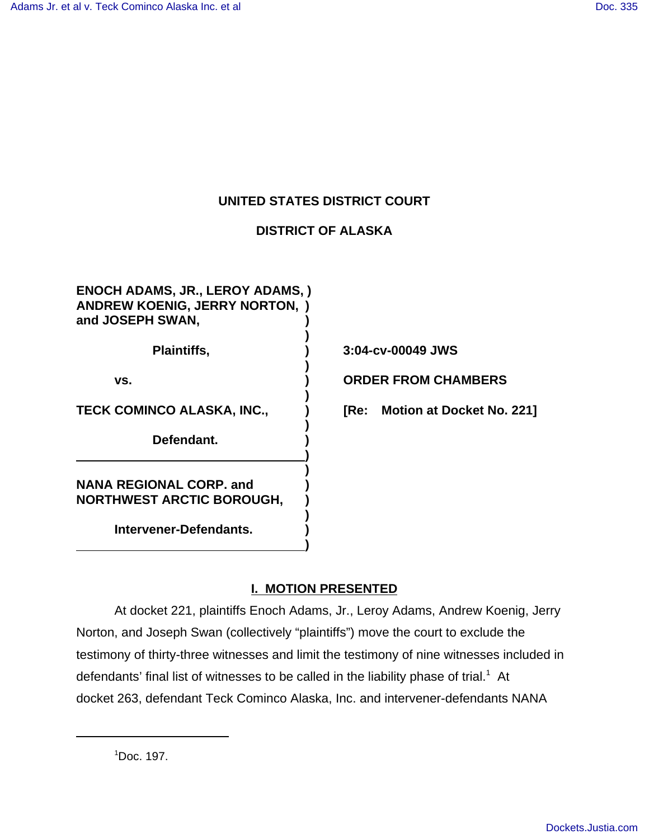# **UNITED STATES DISTRICT COURT**

# **DISTRICT OF ALASKA**

**)**

**)**

**)**

**)**

**) )**

**)**

**)**

**ENOCH ADAMS, JR., LEROY ADAMS, ) ANDREW KOENIG, JERRY NORTON, ) and JOSEPH SWAN, )**

**Defendant. )**

**NANA REGIONAL CORP. and ) NORTHWEST ARCTIC BOROUGH, )**

**Intervener-Defendants. )**

**Plaintiffs, ) 3:04-cv-00049 JWS**

**vs. ) ORDER FROM CHAMBERS**

**TECK COMINCO ALASKA, INC., ) [Re: Motion at Docket No. 221]**

# **I. MOTION PRESENTED**

At docket 221, plaintiffs Enoch Adams, Jr., Leroy Adams, Andrew Koenig, Jerry Norton, and Joseph Swan (collectively "plaintiffs") move the court to exclude the testimony of thirty-three witnesses and limit the testimony of nine witnesses included in defendants' final list of witnesses to be called in the liability phase of trial.<sup>1</sup> At docket 263, defendant Teck Cominco Alaska, Inc. and intervener-defendants NANA

<sup>1</sup> Doc. 197.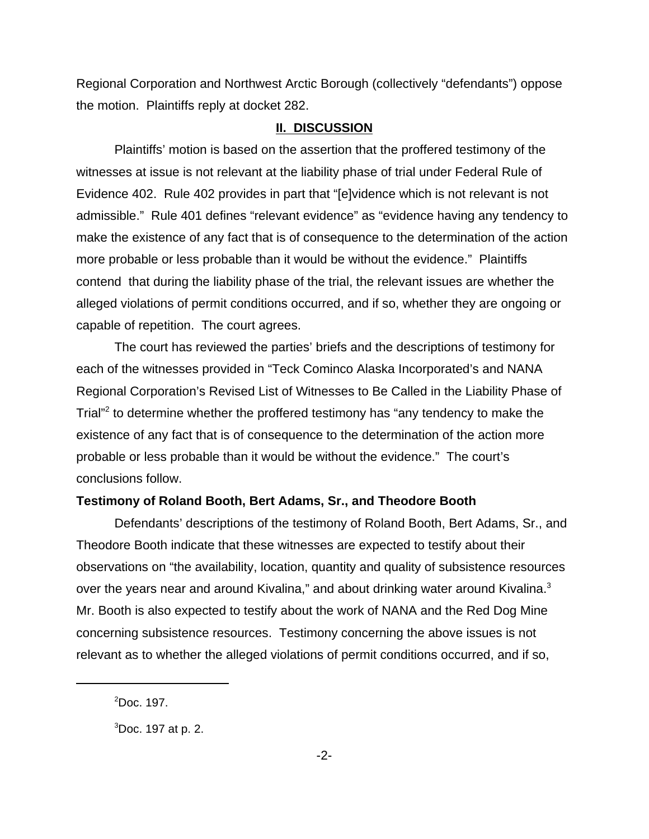Regional Corporation and Northwest Arctic Borough (collectively "defendants") oppose the motion. Plaintiffs reply at docket 282.

#### **II. DISCUSSION**

Plaintiffs' motion is based on the assertion that the proffered testimony of the witnesses at issue is not relevant at the liability phase of trial under Federal Rule of Evidence 402. Rule 402 provides in part that "[e]vidence which is not relevant is not admissible." Rule 401 defines "relevant evidence" as "evidence having any tendency to make the existence of any fact that is of consequence to the determination of the action more probable or less probable than it would be without the evidence." Plaintiffs contend that during the liability phase of the trial, the relevant issues are whether the alleged violations of permit conditions occurred, and if so, whether they are ongoing or capable of repetition. The court agrees.

The court has reviewed the parties' briefs and the descriptions of testimony for each of the witnesses provided in "Teck Cominco Alaska Incorporated's and NANA Regional Corporation's Revised List of Witnesses to Be Called in the Liability Phase of Trial"<sup>2</sup> to determine whether the proffered testimony has "any tendency to make the existence of any fact that is of consequence to the determination of the action more probable or less probable than it would be without the evidence." The court's conclusions follow.

## **Testimony of Roland Booth, Bert Adams, Sr., and Theodore Booth**

Defendants' descriptions of the testimony of Roland Booth, Bert Adams, Sr., and Theodore Booth indicate that these witnesses are expected to testify about their observations on "the availability, location, quantity and quality of subsistence resources over the years near and around Kivalina," and about drinking water around Kivalina.<sup>3</sup> Mr. Booth is also expected to testify about the work of NANA and the Red Dog Mine concerning subsistence resources. Testimony concerning the above issues is not relevant as to whether the alleged violations of permit conditions occurred, and if so,

 $<sup>2</sup>$ Doc. 197.</sup>

 ${}^{3}$ Doc. 197 at p. 2.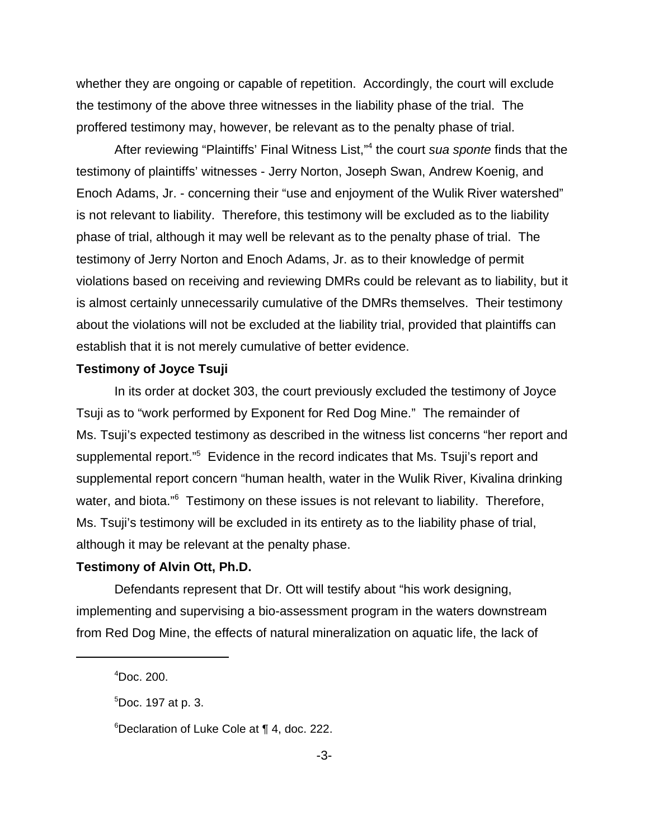whether they are ongoing or capable of repetition. Accordingly, the court will exclude the testimony of the above three witnesses in the liability phase of the trial. The proffered testimony may, however, be relevant as to the penalty phase of trial.

After reviewing "Plaintiffs' Final Witness List,"4 the court *sua sponte* finds that the testimony of plaintiffs' witnesses - Jerry Norton, Joseph Swan, Andrew Koenig, and Enoch Adams, Jr. - concerning their "use and enjoyment of the Wulik River watershed" is not relevant to liability. Therefore, this testimony will be excluded as to the liability phase of trial, although it may well be relevant as to the penalty phase of trial. The testimony of Jerry Norton and Enoch Adams, Jr. as to their knowledge of permit violations based on receiving and reviewing DMRs could be relevant as to liability, but it is almost certainly unnecessarily cumulative of the DMRs themselves. Their testimony about the violations will not be excluded at the liability trial, provided that plaintiffs can establish that it is not merely cumulative of better evidence.

## **Testimony of Joyce Tsuji**

In its order at docket 303, the court previously excluded the testimony of Joyce Tsuji as to "work performed by Exponent for Red Dog Mine." The remainder of Ms. Tsuji's expected testimony as described in the witness list concerns "her report and supplemental report."<sup>5</sup> Evidence in the record indicates that Ms. Tsuji's report and supplemental report concern "human health, water in the Wulik River, Kivalina drinking water, and biota."<sup>6</sup> Testimony on these issues is not relevant to liability. Therefore, Ms. Tsuji's testimony will be excluded in its entirety as to the liability phase of trial, although it may be relevant at the penalty phase.

## **Testimony of Alvin Ott, Ph.D.**

Defendants represent that Dr. Ott will testify about "his work designing, implementing and supervising a bio-assessment program in the waters downstream from Red Dog Mine, the effects of natural mineralization on aquatic life, the lack of

<sup>4</sup> Doc. 200.

<sup>5</sup> Doc. 197 at p. 3.

<sup>6</sup> Declaration of Luke Cole at ¶ 4, doc. 222.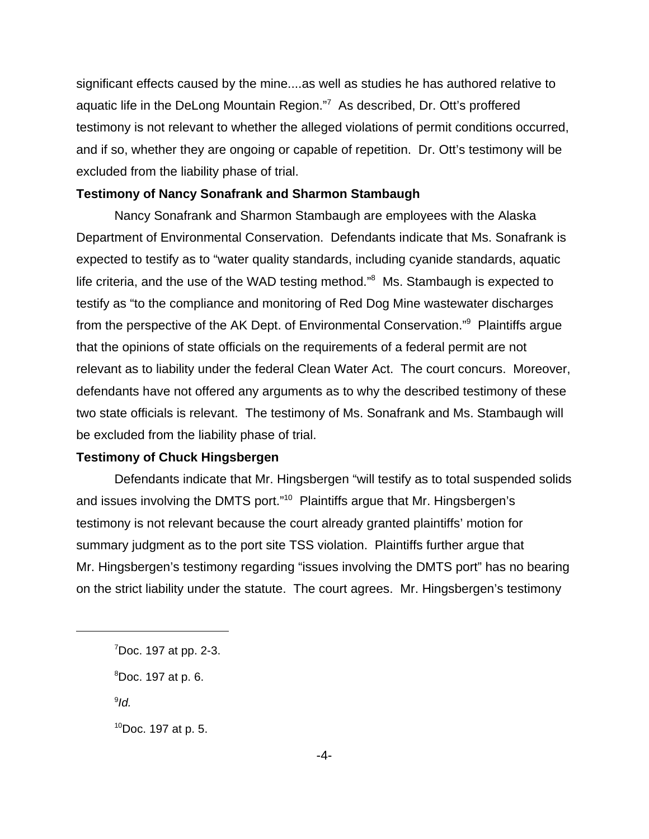significant effects caused by the mine....as well as studies he has authored relative to aquatic life in the DeLong Mountain Region."<sup>7</sup> As described, Dr. Ott's proffered testimony is not relevant to whether the alleged violations of permit conditions occurred, and if so, whether they are ongoing or capable of repetition. Dr. Ott's testimony will be excluded from the liability phase of trial.

#### **Testimony of Nancy Sonafrank and Sharmon Stambaugh**

Nancy Sonafrank and Sharmon Stambaugh are employees with the Alaska Department of Environmental Conservation. Defendants indicate that Ms. Sonafrank is expected to testify as to "water quality standards, including cyanide standards, aquatic life criteria, and the use of the WAD testing method."<sup>8</sup> Ms. Stambaugh is expected to testify as "to the compliance and monitoring of Red Dog Mine wastewater discharges from the perspective of the AK Dept. of Environmental Conservation."<sup>9</sup> Plaintiffs argue that the opinions of state officials on the requirements of a federal permit are not relevant as to liability under the federal Clean Water Act. The court concurs. Moreover, defendants have not offered any arguments as to why the described testimony of these two state officials is relevant. The testimony of Ms. Sonafrank and Ms. Stambaugh will be excluded from the liability phase of trial.

# **Testimony of Chuck Hingsbergen**

Defendants indicate that Mr. Hingsbergen "will testify as to total suspended solids and issues involving the DMTS port."<sup>10</sup> Plaintiffs argue that Mr. Hingsbergen's testimony is not relevant because the court already granted plaintiffs' motion for summary judgment as to the port site TSS violation. Plaintiffs further argue that Mr. Hingsbergen's testimony regarding "issues involving the DMTS port" has no bearing on the strict liability under the statute. The court agrees. Mr. Hingsbergen's testimony

9 *Id.*

 $10Doc.$  197 at p. 5.

<sup>&</sup>lt;sup>7</sup>Doc. 197 at pp. 2-3.

<sup>8</sup> Doc. 197 at p. 6.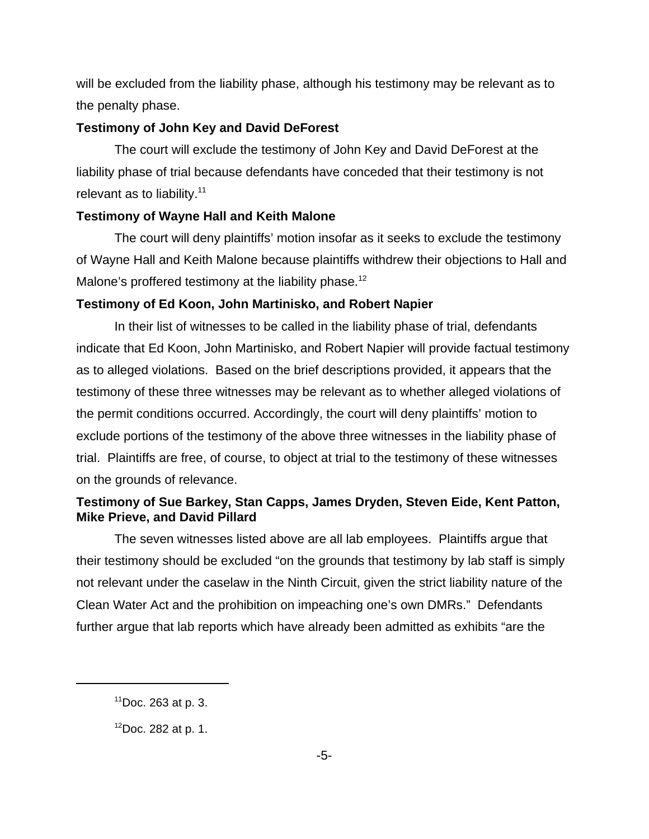will be excluded from the liability phase, although his testimony may be relevant as to the penalty phase.

# **Testimony of John Key and David DeForest**

The court will exclude the testimony of John Key and David DeForest at the liability phase of trial because defendants have conceded that their testimony is not relevant as to liability. $11$ 

## **Testimony of Wayne Hall and Keith Malone**

The court will deny plaintiffs' motion insofar as it seeks to exclude the testimony of Wayne Hall and Keith Malone because plaintiffs withdrew their objections to Hall and Malone's proffered testimony at the liability phase.<sup>12</sup>

## **Testimony of Ed Koon, John Martinisko, and Robert Napier**

In their list of witnesses to be called in the liability phase of trial, defendants indicate that Ed Koon, John Martinisko, and Robert Napier will provide factual testimony as to alleged violations. Based on the brief descriptions provided, it appears that the testimony of these three witnesses may be relevant as to whether alleged violations of the permit conditions occurred. Accordingly, the court will deny plaintiffs' motion to exclude portions of the testimony of the above three witnesses in the liability phase of trial. Plaintiffs are free, of course, to object at trial to the testimony of these witnesses on the grounds of relevance.

# **Testimony of Sue Barkey, Stan Capps, James Dryden, Steven Eide, Kent Patton, Mike Prieve, and David Pillard**

The seven witnesses listed above are all lab employees. Plaintiffs argue that their testimony should be excluded "on the grounds that testimony by lab staff is simply not relevant under the caselaw in the Ninth Circuit, given the strict liability nature of the Clean Water Act and the prohibition on impeaching one's own DMRs." Defendants further argue that lab reports which have already been admitted as exhibits "are the

 $11$ Doc. 263 at p. 3.

 $12$ Doc. 282 at p. 1.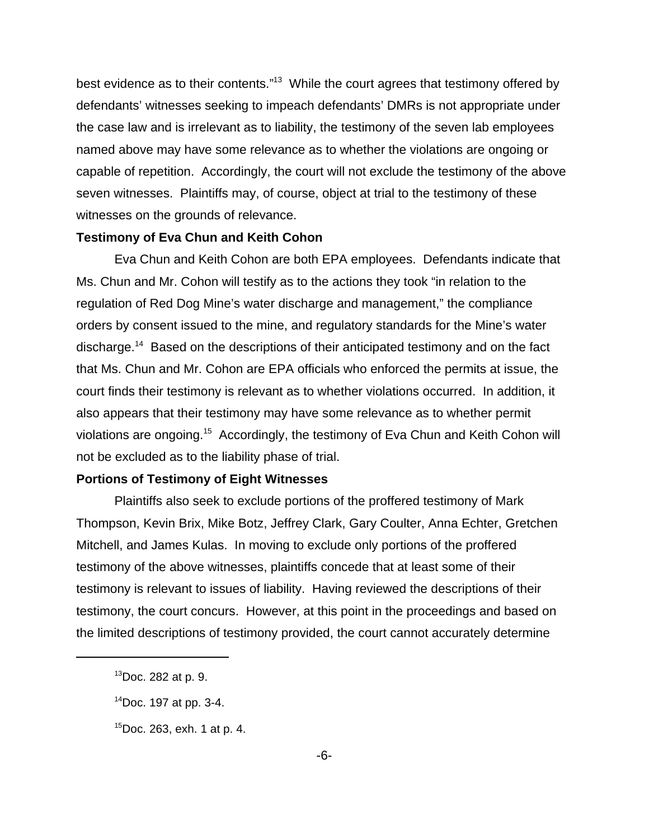best evidence as to their contents."<sup>13</sup> While the court agrees that testimony offered by defendants' witnesses seeking to impeach defendants' DMRs is not appropriate under the case law and is irrelevant as to liability, the testimony of the seven lab employees named above may have some relevance as to whether the violations are ongoing or capable of repetition. Accordingly, the court will not exclude the testimony of the above seven witnesses. Plaintiffs may, of course, object at trial to the testimony of these witnesses on the grounds of relevance.

#### **Testimony of Eva Chun and Keith Cohon**

Eva Chun and Keith Cohon are both EPA employees. Defendants indicate that Ms. Chun and Mr. Cohon will testify as to the actions they took "in relation to the regulation of Red Dog Mine's water discharge and management," the compliance orders by consent issued to the mine, and regulatory standards for the Mine's water discharge.14 Based on the descriptions of their anticipated testimony and on the fact that Ms. Chun and Mr. Cohon are EPA officials who enforced the permits at issue, the court finds their testimony is relevant as to whether violations occurred. In addition, it also appears that their testimony may have some relevance as to whether permit violations are ongoing.15 Accordingly, the testimony of Eva Chun and Keith Cohon will not be excluded as to the liability phase of trial.

## **Portions of Testimony of Eight Witnesses**

Plaintiffs also seek to exclude portions of the proffered testimony of Mark Thompson, Kevin Brix, Mike Botz, Jeffrey Clark, Gary Coulter, Anna Echter, Gretchen Mitchell, and James Kulas. In moving to exclude only portions of the proffered testimony of the above witnesses, plaintiffs concede that at least some of their testimony is relevant to issues of liability. Having reviewed the descriptions of their testimony, the court concurs. However, at this point in the proceedings and based on the limited descriptions of testimony provided, the court cannot accurately determine

 $13$ Doc. 282 at p. 9.

<sup>14</sup>Doc. 197 at pp. 3-4.

<sup>15</sup>Doc. 263, exh. 1 at p. 4.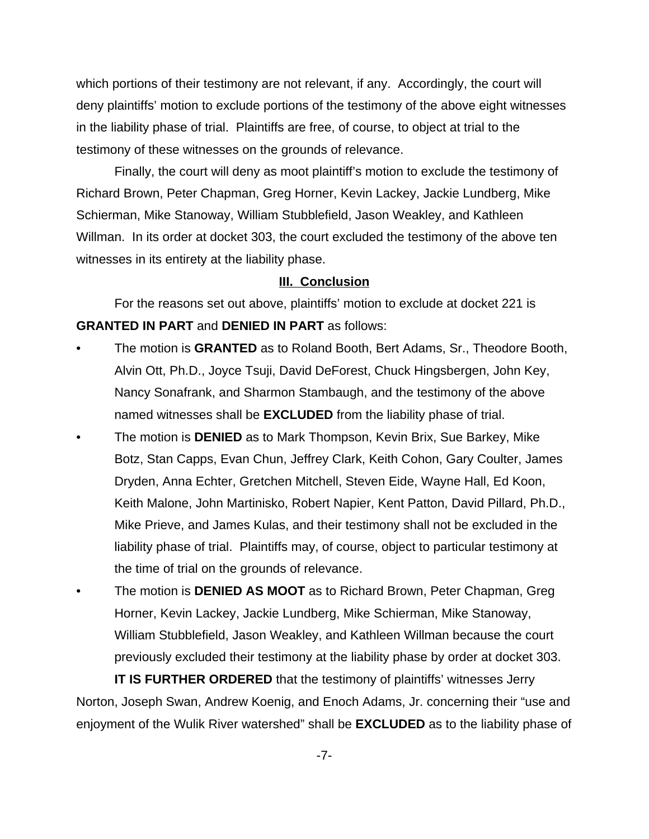which portions of their testimony are not relevant, if any. Accordingly, the court will deny plaintiffs' motion to exclude portions of the testimony of the above eight witnesses in the liability phase of trial. Plaintiffs are free, of course, to object at trial to the testimony of these witnesses on the grounds of relevance.

Finally, the court will deny as moot plaintiff's motion to exclude the testimony of Richard Brown, Peter Chapman, Greg Horner, Kevin Lackey, Jackie Lundberg, Mike Schierman, Mike Stanoway, William Stubblefield, Jason Weakley, and Kathleen Willman. In its order at docket 303, the court excluded the testimony of the above ten witnesses in its entirety at the liability phase.

## **III. Conclusion**

For the reasons set out above, plaintiffs' motion to exclude at docket 221 is **GRANTED IN PART** and **DENIED IN PART** as follows:

- The motion is **GRANTED** as to Roland Booth, Bert Adams, Sr., Theodore Booth, Alvin Ott, Ph.D., Joyce Tsuji, David DeForest, Chuck Hingsbergen, John Key, Nancy Sonafrank, and Sharmon Stambaugh, and the testimony of the above named witnesses shall be **EXCLUDED** from the liability phase of trial.
- The motion is **DENIED** as to Mark Thompson, Kevin Brix, Sue Barkey, Mike Botz, Stan Capps, Evan Chun, Jeffrey Clark, Keith Cohon, Gary Coulter, James Dryden, Anna Echter, Gretchen Mitchell, Steven Eide, Wayne Hall, Ed Koon, Keith Malone, John Martinisko, Robert Napier, Kent Patton, David Pillard, Ph.D., Mike Prieve, and James Kulas, and their testimony shall not be excluded in the liability phase of trial. Plaintiffs may, of course, object to particular testimony at the time of trial on the grounds of relevance.
- The motion is **DENIED AS MOOT** as to Richard Brown, Peter Chapman, Greg Horner, Kevin Lackey, Jackie Lundberg, Mike Schierman, Mike Stanoway, William Stubblefield, Jason Weakley, and Kathleen Willman because the court previously excluded their testimony at the liability phase by order at docket 303.

**IT IS FURTHER ORDERED** that the testimony of plaintiffs' witnesses Jerry Norton, Joseph Swan, Andrew Koenig, and Enoch Adams, Jr. concerning their "use and enjoyment of the Wulik River watershed" shall be **EXCLUDED** as to the liability phase of